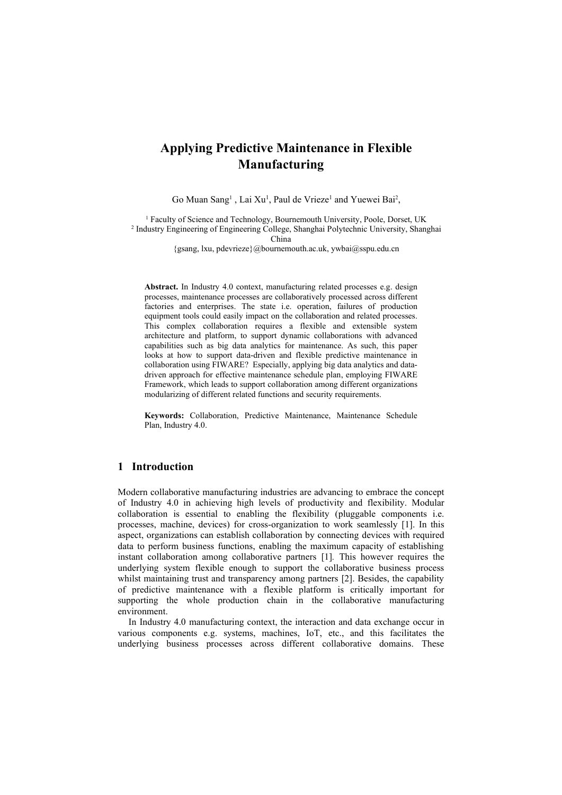# **Applying Predictive Maintenance in Flexible Manufacturing**

Go Muan Sang<sup>1</sup>, Lai Xu<sup>1</sup>, Paul de Vrieze<sup>1</sup> and Yuewei Bai<sup>2</sup>,

<sup>1</sup> Faculty of Science and Technology, Bournemouth University, Poole, Dorset, UK 2 Industry Engineering of Engineering College, Shanghai Polytechnic University, Shanghai

China

{gsang, lxu, pdevrieze}@bournemouth.ac.uk, ywbai@sspu.edu.cn

**Abstract.** In Industry 4.0 context, manufacturing related processes e.g. design processes, maintenance processes are collaboratively processed across different factories and enterprises. The state i.e. operation, failures of production equipment tools could easily impact on the collaboration and related processes. This complex collaboration requires a flexible and extensible system architecture and platform, to support dynamic collaborations with advanced capabilities such as big data analytics for maintenance. As such, this paper looks at how to support data-driven and flexible predictive maintenance in collaboration using FIWARE? Especially, applying big data analytics and datadriven approach for effective maintenance schedule plan, employing FIWARE Framework, which leads to support collaboration among different organizations modularizing of different related functions and security requirements.

**Keywords:** Collaboration, Predictive Maintenance, Maintenance Schedule Plan, Industry 4.0.

# **1 Introduction**

Modern collaborative manufacturing industries are advancing to embrace the concept of Industry 4.0 in achieving high levels of productivity and flexibility. Modular collaboration is essential to enabling the flexibility (pluggable components i.e. processes, machine, devices) for cross-organization to work seamlessly [1]. In this aspect, organizations can establish collaboration by connecting devices with required data to perform business functions, enabling the maximum capacity of establishing instant collaboration among collaborative partners [1]*.* This however requires the underlying system flexible enough to support the collaborative business process whilst maintaining trust and transparency among partners [2]. Besides, the capability of predictive maintenance with a flexible platform is critically important for supporting the whole production chain in the collaborative manufacturing environment.

In Industry 4.0 manufacturing context, the interaction and data exchange occur in various components e.g. systems, machines, IoT, etc., and this facilitates the underlying business processes across different collaborative domains. These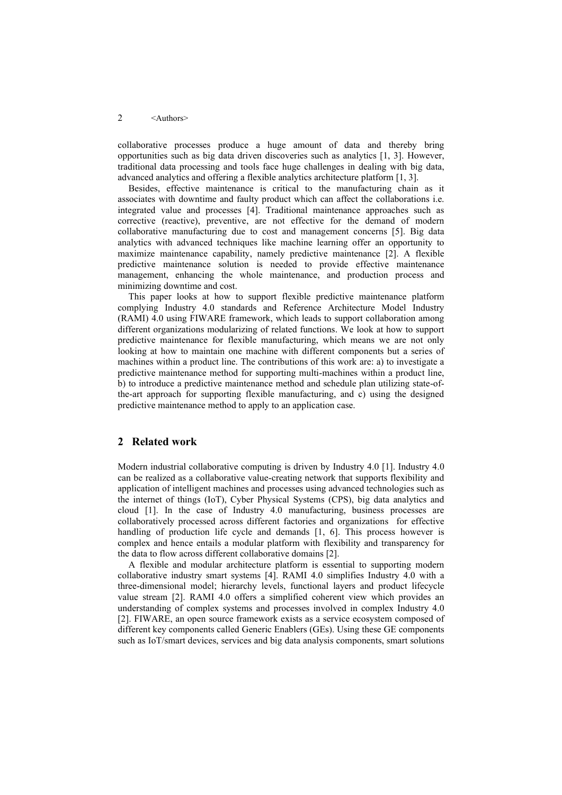#### 2 <Authors>

collaborative processes produce a huge amount of data and thereby bring opportunities such as big data driven discoveries such as analytics [1, 3]. However, traditional data processing and tools face huge challenges in dealing with big data, advanced analytics and offering a flexible analytics architecture platform [1, 3].

Besides, effective maintenance is critical to the manufacturing chain as it associates with downtime and faulty product which can affect the collaborations i.e. integrated value and processes [4]. Traditional maintenance approaches such as corrective (reactive), preventive, are not effective for the demand of modern collaborative manufacturing due to cost and management concerns [5]. Big data analytics with advanced techniques like machine learning offer an opportunity to maximize maintenance capability, namely predictive maintenance [2]. A flexible predictive maintenance solution is needed to provide effective maintenance management, enhancing the whole maintenance, and production process and minimizing downtime and cost.

This paper looks at how to support flexible predictive maintenance platform complying Industry 4.0 standards and Reference Architecture Model Industry (RAMI) 4.0 using FIWARE framework, which leads to support collaboration among different organizations modularizing of related functions. We look at how to support predictive maintenance for flexible manufacturing, which means we are not only looking at how to maintain one machine with different components but a series of machines within a product line. The contributions of this work are: a) to investigate a predictive maintenance method for supporting multi-machines within a product line, b) to introduce a predictive maintenance method and schedule plan utilizing state-ofthe-art approach for supporting flexible manufacturing, and c) using the designed predictive maintenance method to apply to an application case.

# **2 Related work**

Modern industrial collaborative computing is driven by Industry 4.0 [1]. Industry 4.0 can be realized as a collaborative value-creating network that supports flexibility and application of intelligent machines and processes using advanced technologies such as the internet of things (IoT), Cyber Physical Systems (CPS), big data analytics and cloud [1]. In the case of Industry 4.0 manufacturing, business processes are collaboratively processed across different factories and organizations for effective handling of production life cycle and demands [1, 6]. This process however is complex and hence entails a modular platform with flexibility and transparency for the data to flow across different collaborative domains [2].

A flexible and modular architecture platform is essential to supporting modern collaborative industry smart systems [4]. RAMI 4.0 simplifies Industry 4.0 with a three-dimensional model; hierarchy levels, functional layers and product lifecycle value stream [2]. RAMI 4.0 offers a simplified coherent view which provides an understanding of complex systems and processes involved in complex Industry 4.0 [2]. FIWARE, an open source framework exists as a service ecosystem composed of different key components called Generic Enablers (GEs). Using these GE components such as IoT/smart devices, services and big data analysis components, smart solutions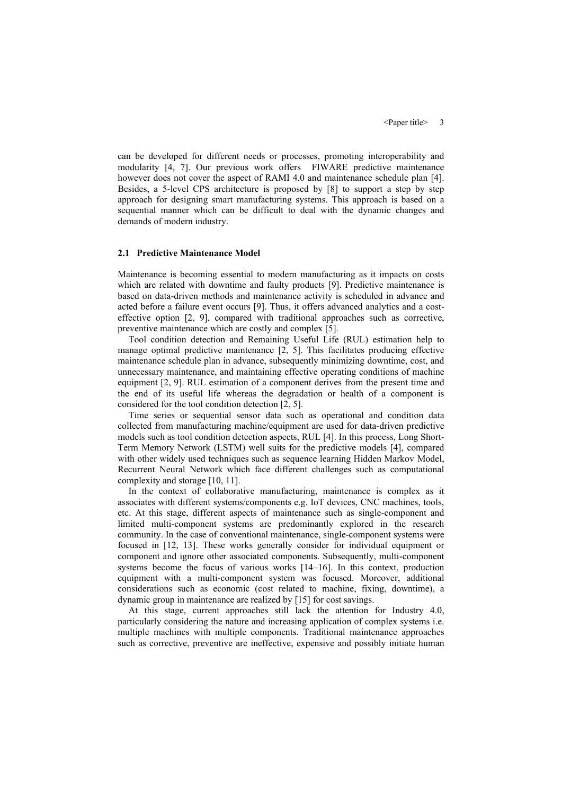can be developed for different needs or processes, promoting interoperability and modularity [4, 7]. Our previous work offers FIWARE predictive maintenance however does not cover the aspect of RAMI 4.0 and maintenance schedule plan [4]. Besides, a 5-level CPS architecture is proposed by [8] to support a step by step approach for designing smart manufacturing systems. This approach is based on a sequential manner which can be difficult to deal with the dynamic changes and demands of modern industry.

#### **2.1 Predictive Maintenance Model**

Maintenance is becoming essential to modern manufacturing as it impacts on costs which are related with downtime and faulty products [9]. Predictive maintenance is based on data-driven methods and maintenance activity is scheduled in advance and acted before a failure event occurs [9]. Thus, it offers advanced analytics and a costeffective option [2, 9], compared with traditional approaches such as corrective, preventive maintenance which are costly and complex [5].

Tool condition detection and Remaining Useful Life (RUL) estimation help to manage optimal predictive maintenance [2, 5]. This facilitates producing effective maintenance schedule plan in advance, subsequently minimizing downtime, cost, and unnecessary maintenance, and maintaining effective operating conditions of machine equipment [2, 9]. RUL estimation of a component derives from the present time and the end of its useful life whereas the degradation or health of a component is considered for the tool condition detection [2, 5].

Time series or sequential sensor data such as operational and condition data collected from manufacturing machine/equipment are used for data-driven predictive models such as tool condition detection aspects, RUL [4]. In this process, Long Short-Term Memory Network (LSTM) well suits for the predictive models [4], compared with other widely used techniques such as sequence learning Hidden Markov Model, Recurrent Neural Network which face different challenges such as computational complexity and storage [10, 11].

In the context of collaborative manufacturing, maintenance is complex as it associates with different systems/components e.g. IoT devices, CNC machines, tools, etc. At this stage, different aspects of maintenance such as single-component and limited multi-component systems are predominantly explored in the research community. In the case of conventional maintenance, single-component systems were focused in [12, 13]. These works generally consider for individual equipment or component and ignore other associated components. Subsequently, multi-component systems become the focus of various works [14–16]. In this context, production equipment with a multi-component system was focused. Moreover, additional considerations such as economic (cost related to machine, fixing, downtime), a dynamic group in maintenance are realized by [15] for cost savings.

At this stage, current approaches still lack the attention for Industry 4.0, particularly considering the nature and increasing application of complex systems i.e. multiple machines with multiple components. Traditional maintenance approaches such as corrective, preventive are ineffective, expensive and possibly initiate human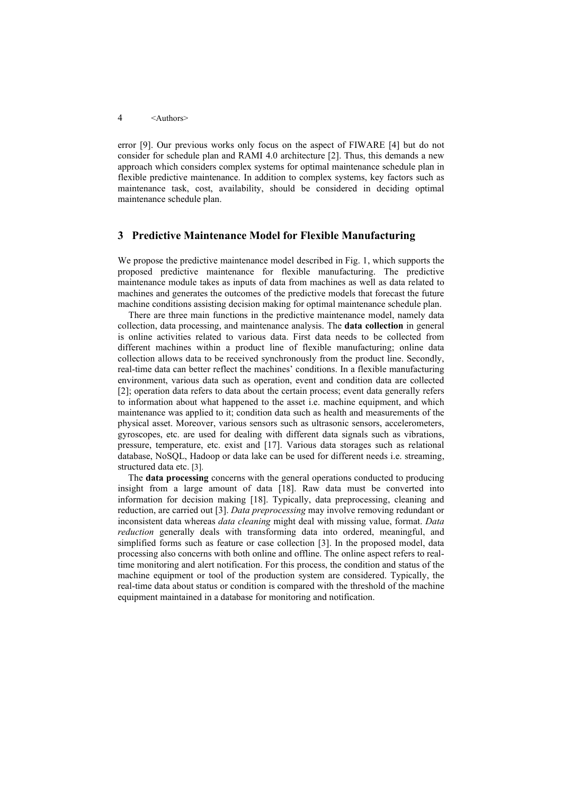error [9]. Our previous works only focus on the aspect of FIWARE [4] but do not consider for schedule plan and RAMI 4.0 architecture [2]. Thus, this demands a new approach which considers complex systems for optimal maintenance schedule plan in flexible predictive maintenance. In addition to complex systems, key factors such as maintenance task, cost, availability, should be considered in deciding optimal maintenance schedule plan.

# **3 Predictive Maintenance Model for Flexible Manufacturing**

We propose the predictive maintenance model described in Fig. 1, which supports the proposed predictive maintenance for flexible manufacturing. The predictive maintenance module takes as inputs of data from machines as well as data related to machines and generates the outcomes of the predictive models that forecast the future machine conditions assisting decision making for optimal maintenance schedule plan.

There are three main functions in the predictive maintenance model, namely data collection, data processing, and maintenance analysis. The **data collection** in general is online activities related to various data. First data needs to be collected from different machines within a product line of flexible manufacturing; online data collection allows data to be received synchronously from the product line. Secondly, real-time data can better reflect the machines' conditions. In a flexible manufacturing environment, various data such as operation, event and condition data are collected [2]; operation data refers to data about the certain process; event data generally refers to information about what happened to the asset i.e. machine equipment, and which maintenance was applied to it; condition data such as health and measurements of the physical asset. Moreover, various sensors such as ultrasonic sensors, accelerometers, gyroscopes, etc. are used for dealing with different data signals such as vibrations, pressure, temperature, etc. exist and [17]. Various data storages such as relational database, NoSQL, Hadoop or data lake can be used for different needs i.e. streaming, structured data etc. [3].

The **data processing** concerns with the general operations conducted to producing insight from a large amount of data [18]. Raw data must be converted into information for decision making [18]. Typically, data preprocessing, cleaning and reduction, are carried out [3]. *Data preprocessing* may involve removing redundant or inconsistent data whereas *data cleaning* might deal with missing value, format. *Data reduction* generally deals with transforming data into ordered, meaningful, and simplified forms such as feature or case collection [3]. In the proposed model, data processing also concerns with both online and offline. The online aspect refers to realtime monitoring and alert notification. For this process, the condition and status of the machine equipment or tool of the production system are considered. Typically, the real-time data about status or condition is compared with the threshold of the machine equipment maintained in a database for monitoring and notification.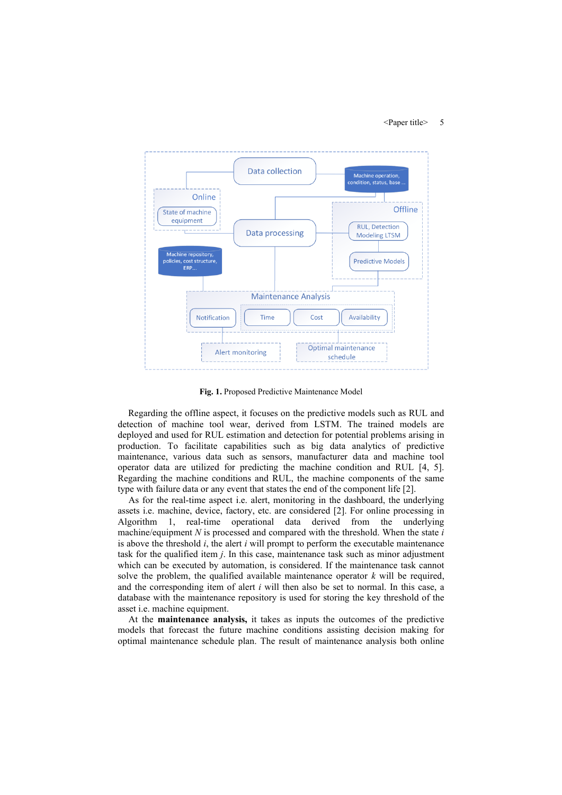<Paper title> 5



**Fig. 1.** Proposed Predictive Maintenance Model

Regarding the offline aspect, it focuses on the predictive models such as RUL and detection of machine tool wear, derived from LSTM. The trained models are deployed and used for RUL estimation and detection for potential problems arising in production. To facilitate capabilities such as big data analytics of predictive maintenance, various data such as sensors, manufacturer data and machine tool operator data are utilized for predicting the machine condition and RUL [4, 5]. Regarding the machine conditions and RUL, the machine components of the same type with failure data or any event that states the end of the component life [2].

As for the real-time aspect i.e. alert, monitoring in the dashboard, the underlying assets i.e. machine, device, factory, etc. are considered [2]. For online processing in Algorithm 1, real-time operational data derived from the underlying machine/equipment *N* is processed and compared with the threshold. When the state *i* is above the threshold *i*, the alert *i* will prompt to perform the executable maintenance task for the qualified item *j*. In this case, maintenance task such as minor adjustment which can be executed by automation, is considered. If the maintenance task cannot solve the problem, the qualified available maintenance operator *k* will be required, and the corresponding item of alert *i* will then also be set to normal. In this case, a database with the maintenance repository is used for storing the key threshold of the asset i.e. machine equipment.

At the **maintenance analysis,** it takes as inputs the outcomes of the predictive models that forecast the future machine conditions assisting decision making for optimal maintenance schedule plan. The result of maintenance analysis both online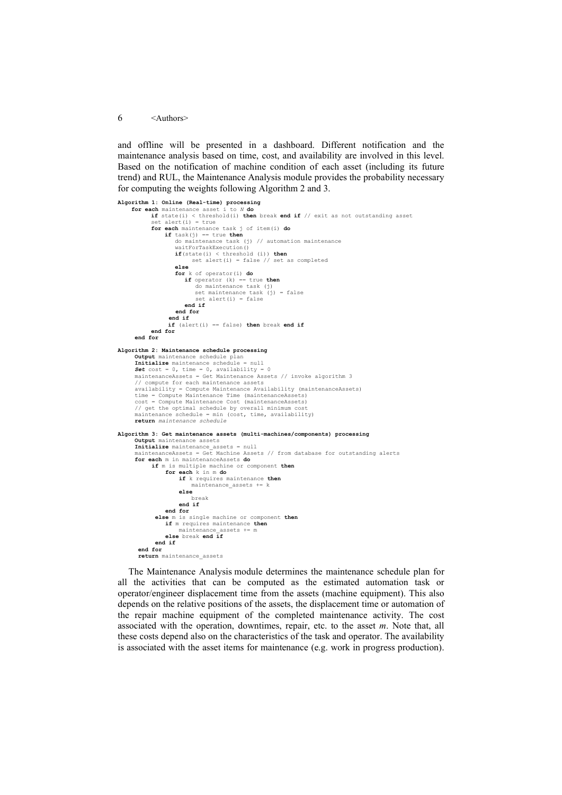#### $6 \leq$ Authors $>$

and offline will be presented in a dashboard. Different notification and the maintenance analysis based on time, cost, and availability are involved in this level. Based on the notification of machine condition of each asset (including its future trend) and RUL, the Maintenance Analysis module provides the probability necessary for computing the weights following Algorithm 2 and 3.

```
Algorithm 1: Online (Real-time) processing
    for each maintenance asset i to N do
if state(i) < threshold(i) then break end if // exit as not outstanding asset
              set alert(i) = true 
for each maintenance task j of item(i) do
 if task(j) == true then
 do maintenance task (j) // automation maintenance
                       waitForTaskExecution()<br>if(state(i) < threshold (i)) then
               if(state(i) < threshold (i)) then 
 set alert(i) = false // set as completed
 else
                        for k of operator(i) do
              if operator (k) == true then
 do maintenance task (j)
                               set maintenance task (j) = false
                                set alert(i) = false
                           end if
                        end for
                      end if
                     if (alert(i) == false) then break end if
             end for
        end for
Algorithm 2: Maintenance schedule processing
Output maintenance schedule plan<br>
Initialize maintenance schedule = null<br>
Set cost = 0, time = 0, availability = 0<br>
maintenanceAssets = Get Maintenance Assets // invoke algorithm 3
 // compute for each maintenance assets
 availability = Compute Maintenance Availability (maintenanceAssets)
 time = Compute Maintenance Time (maintenanceAssets) 
 cost = Compute Maintenance Cost (maintenanceAssets)
           get the optimal schedule by overall minimum
        maintenance schedule = min (cost, time, availability)
        return maintenance schedule
Algorithm 3: Get maintenance assets (multi-machines/components) processing
        Output maintenance assets
 Initialize maintenance_assets = null
 maintenanceAssets = Get Machine Assets // from database for outstanding alerts
 for each m in maintenanceAssets do
if m is multiple machine or component then
                    for each k in m do
                          if k requires maintenance then
                              maintenance_assets +=
                          else 
               break
 end if
                    end for
               else m is single machine or component then
                   if m requires maintenance then<br>maintenance assets += m
                         maintenance
                    else break end if 
                end if
         end for
         return maintenance_assets
```
The Maintenance Analysis module determines the maintenance schedule plan for all the activities that can be computed as the estimated automation task or operator/engineer displacement time from the assets (machine equipment). This also depends on the relative positions of the assets, the displacement time or automation of the repair machine equipment of the completed maintenance activity. The cost associated with the operation, downtimes, repair, etc. to the asset *m*. Note that, all these costs depend also on the characteristics of the task and operator. The availability is associated with the asset items for maintenance (e.g. work in progress production).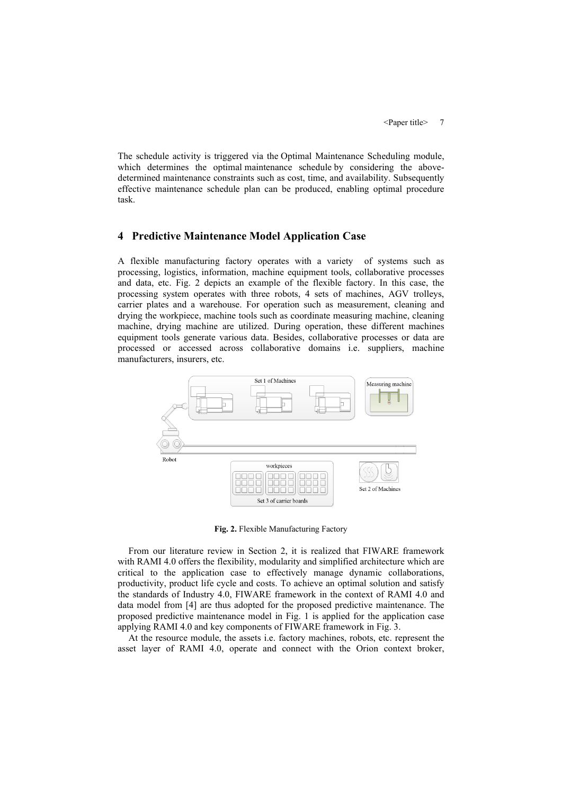The schedule activity is triggered via the Optimal Maintenance Scheduling module, which determines the optimal maintenance schedule by considering the abovedetermined maintenance constraints such as cost, time, and availability. Subsequently effective maintenance schedule plan can be produced, enabling optimal procedure task.

## **4 Predictive Maintenance Model Application Case**

A flexible manufacturing factory operates with a variety of systems such as processing, logistics, information, machine equipment tools, collaborative processes and data, etc. Fig. 2 depicts an example of the flexible factory. In this case, the processing system operates with three robots, 4 sets of machines, AGV trolleys, carrier plates and a warehouse. For operation such as measurement, cleaning and drying the workpiece, machine tools such as coordinate measuring machine, cleaning machine, drying machine are utilized. During operation, these different machines equipment tools generate various data. Besides, collaborative processes or data are processed or accessed across collaborative domains i.e. suppliers, machine manufacturers, insurers, etc.



**Fig. 2.** Flexible Manufacturing Factory

From our literature review in Section 2, it is realized that FIWARE framework with RAMI 4.0 offers the flexibility, modularity and simplified architecture which are critical to the application case to effectively manage dynamic collaborations, productivity, product life cycle and costs. To achieve an optimal solution and satisfy the standards of Industry 4.0, FIWARE framework in the context of RAMI 4.0 and data model from [4] are thus adopted for the proposed predictive maintenance. The proposed predictive maintenance model in Fig. 1 is applied for the application case applying RAMI 4.0 and key components of FIWARE framework in Fig. 3.

At the resource module, the assets i.e. factory machines, robots, etc. represent the asset layer of RAMI 4.0, operate and connect with the Orion context broker,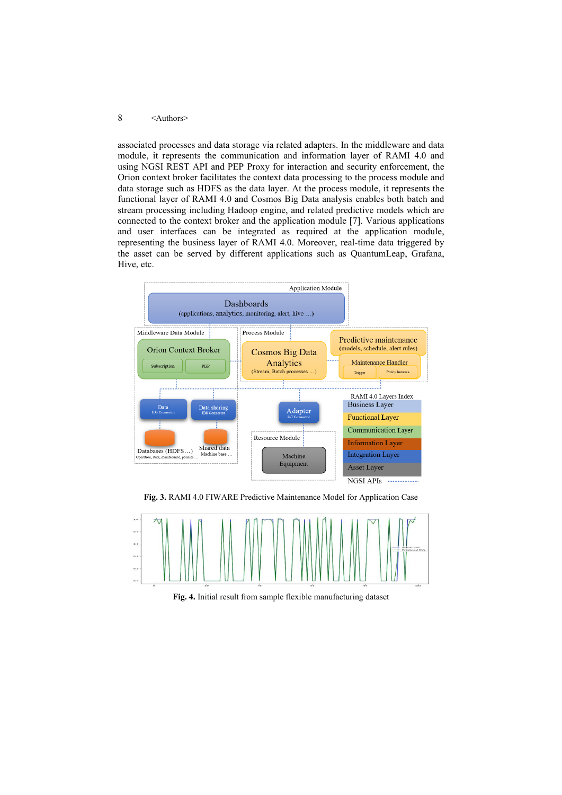#### 8 <Authors>

associated processes and data storage via related adapters. In the middleware and data module, it represents the communication and information layer of RAMI 4.0 and using NGSI REST API and PEP Proxy for interaction and security enforcement, the Orion context broker facilitates the context data processing to the process module and data storage such as HDFS as the data layer. At the process module, it represents the functional layer of RAMI 4.0 and Cosmos Big Data analysis enables both batch and stream processing including Hadoop engine, and related predictive models which are connected to the context broker and the application module [7]. Various applications and user interfaces can be integrated as required at the application module, representing the business layer of RAMI 4.0. Moreover, real-time data triggered by the asset can be served by different applications such as QuantumLeap, Grafana, Hive, etc.







**Fig. 4.** Initial result from sample flexible manufacturing dataset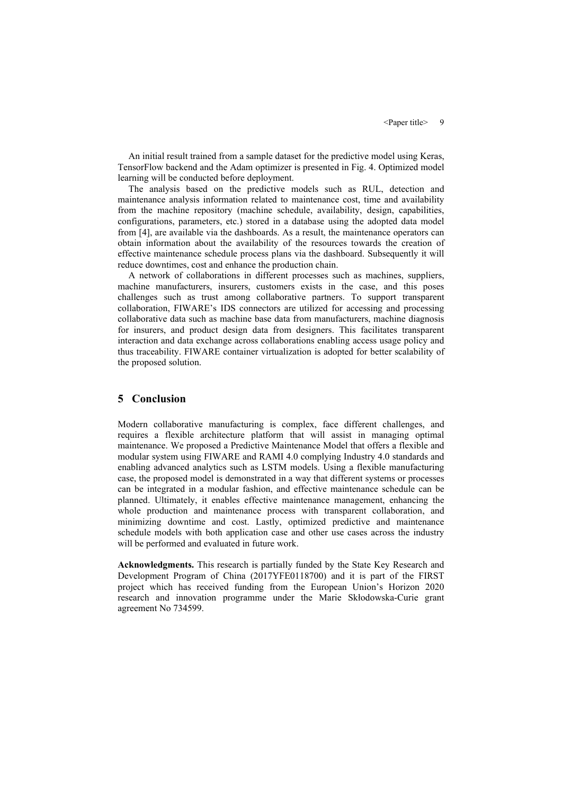An initial result trained from a sample dataset for the predictive model using Keras, TensorFlow backend and the Adam optimizer is presented in Fig. 4. Optimized model learning will be conducted before deployment.

The analysis based on the predictive models such as RUL, detection and maintenance analysis information related to maintenance cost, time and availability from the machine repository (machine schedule, availability, design, capabilities, configurations, parameters, etc.) stored in a database using the adopted data model from [4], are available via the dashboards. As a result, the maintenance operators can obtain information about the availability of the resources towards the creation of effective maintenance schedule process plans via the dashboard. Subsequently it will reduce downtimes, cost and enhance the production chain.

A network of collaborations in different processes such as machines, suppliers, machine manufacturers, insurers, customers exists in the case, and this poses challenges such as trust among collaborative partners. To support transparent collaboration, FIWARE's IDS connectors are utilized for accessing and processing collaborative data such as machine base data from manufacturers, machine diagnosis for insurers, and product design data from designers. This facilitates transparent interaction and data exchange across collaborations enabling access usage policy and thus traceability. FIWARE container virtualization is adopted for better scalability of the proposed solution.

# **5 Conclusion**

Modern collaborative manufacturing is complex, face different challenges, and requires a flexible architecture platform that will assist in managing optimal maintenance. We proposed a Predictive Maintenance Model that offers a flexible and modular system using FIWARE and RAMI 4.0 complying Industry 4.0 standards and enabling advanced analytics such as LSTM models. Using a flexible manufacturing case, the proposed model is demonstrated in a way that different systems or processes can be integrated in a modular fashion, and effective maintenance schedule can be planned. Ultimately, it enables effective maintenance management, enhancing the whole production and maintenance process with transparent collaboration, and minimizing downtime and cost. Lastly, optimized predictive and maintenance schedule models with both application case and other use cases across the industry will be performed and evaluated in future work.

**Acknowledgments.** This research is partially funded by the State Key Research and Development Program of China (2017YFE0118700) and it is part of the FIRST project which has received funding from the European Union's Horizon 2020 research and innovation programme under the Marie Skłodowska-Curie grant agreement No 734599.